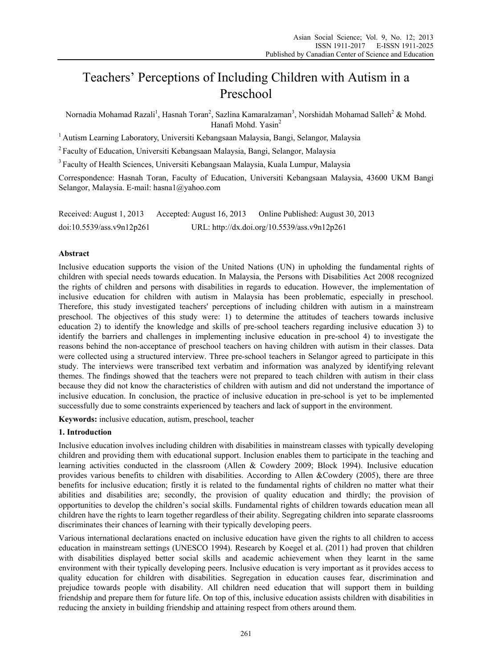# Teachers' Perceptions of Including Children with Autism in a Preschool

Nornadia Mohamad Razali<sup>1</sup>, Hasnah Toran<sup>2</sup>, Sazlina Kamaralzaman<sup>3</sup>, Norshidah Mohamad Salleh<sup>2</sup> & Mohd. Hanafi Mohd. Yasin<sup>2</sup>

<sup>1</sup> Autism Learning Laboratory, Universiti Kebangsaan Malaysia, Bangi, Selangor, Malaysia

2 Faculty of Education, Universiti Kebangsaan Malaysia, Bangi, Selangor, Malaysia

3 Faculty of Health Sciences, Universiti Kebangsaan Malaysia, Kuala Lumpur, Malaysia

Correspondence: Hasnah Toran, Faculty of Education, Universiti Kebangsaan Malaysia, 43600 UKM Bangi Selangor, Malaysia. E-mail: hasna1@yahoo.com

Received: August 1, 2013 Accepted: August 16, 2013 Online Published: August 30, 2013 doi:10.5539/ass.v9n12p261 URL: http://dx.doi.org/10.5539/ass.v9n12p261

# **Abstract**

Inclusive education supports the vision of the United Nations (UN) in upholding the fundamental rights of children with special needs towards education. In Malaysia, the Persons with Disabilities Act 2008 recognized the rights of children and persons with disabilities in regards to education. However, the implementation of inclusive education for children with autism in Malaysia has been problematic, especially in preschool. Therefore, this study investigated teachers' perceptions of including children with autism in a mainstream preschool. The objectives of this study were: 1) to determine the attitudes of teachers towards inclusive education 2) to identify the knowledge and skills of pre-school teachers regarding inclusive education 3) to identify the barriers and challenges in implementing inclusive education in pre-school 4) to investigate the reasons behind the non-acceptance of preschool teachers on having children with autism in their classes. Data were collected using a structured interview. Three pre-school teachers in Selangor agreed to participate in this study. The interviews were transcribed text verbatim and information was analyzed by identifying relevant themes. The findings showed that the teachers were not prepared to teach children with autism in their class because they did not know the characteristics of children with autism and did not understand the importance of inclusive education. In conclusion, the practice of inclusive education in pre-school is yet to be implemented successfully due to some constraints experienced by teachers and lack of support in the environment.

**Keywords:** inclusive education, autism, preschool, teacher

# **1. Introduction**

Inclusive education involves including children with disabilities in mainstream classes with typically developing children and providing them with educational support. Inclusion enables them to participate in the teaching and learning activities conducted in the classroom (Allen & Cowdery 2009; Block 1994). Inclusive education provides various benefits to children with disabilities. According to Allen &Cowdery (2005), there are three benefits for inclusive education; firstly it is related to the fundamental rights of children no matter what their abilities and disabilities are; secondly, the provision of quality education and thirdly; the provision of opportunities to develop the children's social skills. Fundamental rights of children towards education mean all children have the rights to learn together regardless of their ability. Segregating children into separate classrooms discriminates their chances of learning with their typically developing peers.

Various international declarations enacted on inclusive education have given the rights to all children to access education in mainstream settings (UNESCO 1994). Research by Koegel et al. (2011) had proven that children with disabilities displayed better social skills and academic achievement when they learnt in the same environment with their typically developing peers. Inclusive education is very important as it provides access to quality education for children with disabilities. Segregation in education causes fear, discrimination and prejudice towards people with disability. All children need education that will support them in building friendship and prepare them for future life. On top of this, inclusive education assists children with disabilities in reducing the anxiety in building friendship and attaining respect from others around them.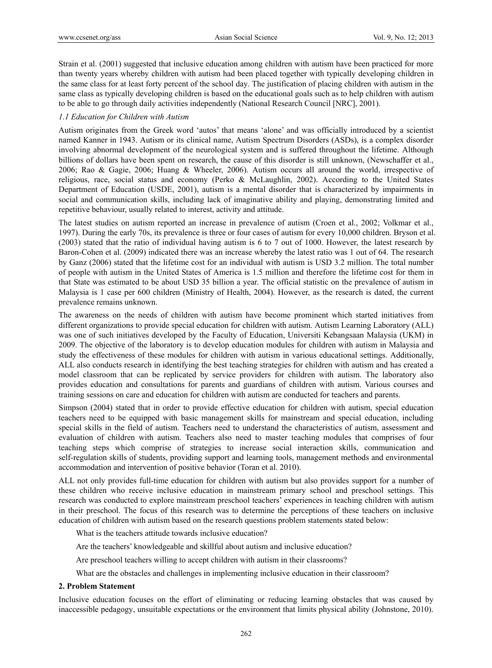Strain et al. (2001) suggested that inclusive education among children with autism have been practiced for more than twenty years whereby children with autism had been placed together with typically developing children in the same class for at least forty percent of the school day. The justification of placing children with autism in the same class as typically developing children is based on the educational goals such as to help children with autism to be able to go through daily activities independently (National Research Council [NRC], 2001).

#### *1.1 Education for Children with Autism*

Autism originates from the Greek word 'autos' that means 'alone' and was officially introduced by a scientist named Kanner in 1943. Autism or its clinical name, Autism Spectrum Disorders (ASDs), is a complex disorder involving abnormal development of the neurological system and is suffered throughout the lifetime. Although billions of dollars have been spent on research, the cause of this disorder is still unknown, (Newschaffer et al., 2006; Rao & Gagie, 2006; Huang & Wheeler, 2006). Autism occurs all around the world, irrespective of religious, race, social status and economy (Perko & McLaughlin, 2002). According to the United States Department of Education (USDE, 2001), autism is a mental disorder that is characterized by impairments in social and communication skills, including lack of imaginative ability and playing, demonstrating limited and repetitive behaviour, usually related to interest, activity and attitude.

The latest studies on autism reported an increase in prevalence of autism (Croen et al., 2002; Volkmar et al., 1997). During the early 70s, its prevalence is three or four cases of autism for every 10,000 children. Bryson et al. (2003) stated that the ratio of individual having autism is 6 to 7 out of 1000. However, the latest research by Baron-Cohen et al. (2009) indicated there was an increase whereby the latest ratio was 1 out of 64. The research by Ganz (2006) stated that the lifetime cost for an individual with autism is USD 3.2 million. The total number of people with autism in the United States of America is 1.5 million and therefore the lifetime cost for them in that State was estimated to be about USD 35 billion a year. The official statistic on the prevalence of autism in Malaysia is 1 case per 600 children (Ministry of Health, 2004). However, as the research is dated, the current prevalence remains unknown.

The awareness on the needs of children with autism have become prominent which started initiatives from different organizations to provide special education for children with autism. Autism Learning Laboratory (ALL) was one of such initiatives developed by the Faculty of Education, Universiti Kebangsaan Malaysia (UKM) in 2009. The objective of the laboratory is to develop education modules for children with autism in Malaysia and study the effectiveness of these modules for children with autism in various educational settings. Additionally, ALL also conducts research in identifying the best teaching strategies for children with autism and has created a model classroom that can be replicated by service providers for children with autism. The laboratory also provides education and consultations for parents and guardians of children with autism. Various courses and training sessions on care and education for children with autism are conducted for teachers and parents.

Simpson (2004) stated that in order to provide effective education for children with autism, special education teachers need to be equipped with basic management skills for mainstream and special education, including special skills in the field of autism. Teachers need to understand the characteristics of autism, assessment and evaluation of children with autism. Teachers also need to master teaching modules that comprises of four teaching steps which comprise of strategies to increase social interaction skills, communication and self-regulation skills of students, providing support and learning tools, management methods and environmental accommodation and intervention of positive behavior (Toran et al. 2010).

ALL not only provides full-time education for children with autism but also provides support for a number of these children who receive inclusive education in mainstream primary school and preschool settings. This research was conducted to explore mainstream preschool teachers' experiences in teaching children with autism in their preschool. The focus of this research was to determine the perceptions of these teachers on inclusive education of children with autism based on the research questions problem statements stated below:

What is the teachers attitude towards inclusive education?

Are the teachers' knowledgeable and skillful about autism and inclusive education?

Are preschool teachers willing to accept children with autism in their classrooms?

What are the obstacles and challenges in implementing inclusive education in their classroom?

#### **2. Problem Statement**

Inclusive education focuses on the effort of eliminating or reducing learning obstacles that was caused by inaccessible pedagogy, unsuitable expectations or the environment that limits physical ability (Johnstone, 2010).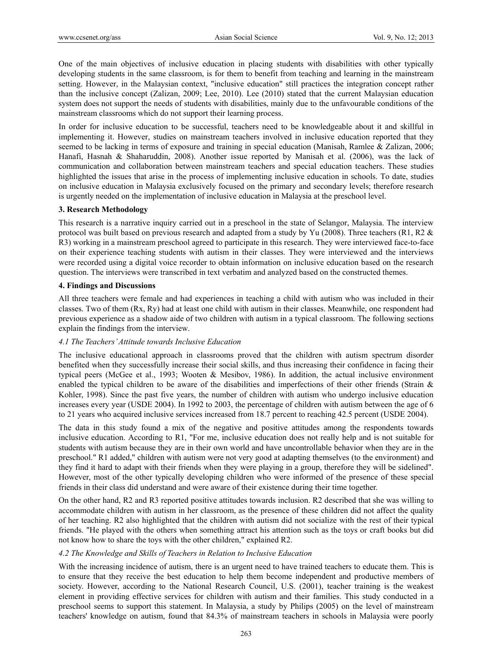One of the main objectives of inclusive education in placing students with disabilities with other typically developing students in the same classroom, is for them to benefit from teaching and learning in the mainstream setting. However, in the Malaysian context, "inclusive education" still practices the integration concept rather than the inclusive concept (Zalizan, 2009; Lee, 2010). Lee (2010) stated that the current Malaysian education system does not support the needs of students with disabilities, mainly due to the unfavourable conditions of the mainstream classrooms which do not support their learning process.

In order for inclusive education to be successful, teachers need to be knowledgeable about it and skillful in implementing it. However, studies on mainstream teachers involved in inclusive education reported that they seemed to be lacking in terms of exposure and training in special education (Manisah, Ramlee & Zalizan, 2006; Hanafi, Hasnah & Shaharuddin, 2008). Another issue reported by Manisah et al. (2006), was the lack of communication and collaboration between mainstream teachers and special education teachers. These studies highlighted the issues that arise in the process of implementing inclusive education in schools. To date, studies on inclusive education in Malaysia exclusively focused on the primary and secondary levels; therefore research is urgently needed on the implementation of inclusive education in Malaysia at the preschool level.

## **3. Research Methodology**

This research is a narrative inquiry carried out in a preschool in the state of Selangor, Malaysia. The interview protocol was built based on previous research and adapted from a study by Yu (2008). Three teachers (R1, R2 & R3) working in a mainstream preschool agreed to participate in this research. They were interviewed face-to-face on their experience teaching students with autism in their classes. They were interviewed and the interviews were recorded using a digital voice recorder to obtain information on inclusive education based on the research question. The interviews were transcribed in text verbatim and analyzed based on the constructed themes.

## **4. Findings and Discussions**

All three teachers were female and had experiences in teaching a child with autism who was included in their classes. Two of them (Rx, Ry) had at least one child with autism in their classes. Meanwhile, one respondent had previous experience as a shadow aide of two children with autism in a typical classroom. The following sections explain the findings from the interview.

# *4.1 The Teachers' Attitude towards Inclusive Education*

The inclusive educational approach in classrooms proved that the children with autism spectrum disorder benefited when they successfully increase their social skills, and thus increasing their confidence in facing their typical peers (McGee et al., 1993; Wooten & Mesibov, 1986). In addition, the actual inclusive environment enabled the typical children to be aware of the disabilities and imperfections of their other friends (Strain & Kohler, 1998). Since the past five years, the number of children with autism who undergo inclusive education increases every year (USDE 2004). In 1992 to 2003, the percentage of children with autism between the age of 6 to 21 years who acquired inclusive services increased from 18.7 percent to reaching 42.5 percent (USDE 2004).

The data in this study found a mix of the negative and positive attitudes among the respondents towards inclusive education. According to R1, "For me, inclusive education does not really help and is not suitable for students with autism because they are in their own world and have uncontrollable behavior when they are in the preschool." R1 added," children with autism were not very good at adapting themselves (to the environment) and they find it hard to adapt with their friends when they were playing in a group, therefore they will be sidelined". However, most of the other typically developing children who were informed of the presence of these special friends in their class did understand and were aware of their existence during their time together.

On the other hand, R2 and R3 reported positive attitudes towards inclusion. R2 described that she was willing to accommodate children with autism in her classroom, as the presence of these children did not affect the quality of her teaching. R2 also highlighted that the children with autism did not socialize with the rest of their typical friends. "He played with the others when something attract his attention such as the toys or craft books but did not know how to share the toys with the other children," explained R2.

## *4.2 The Knowledge and Skills of Teachers in Relation to Inclusive Education*

With the increasing incidence of autism, there is an urgent need to have trained teachers to educate them. This is to ensure that they receive the best education to help them become independent and productive members of society. However, according to the National Research Council, U.S. (2001), teacher training is the weakest element in providing effective services for children with autism and their families. This study conducted in a preschool seems to support this statement. In Malaysia, a study by Philips (2005) on the level of mainstream teachers' knowledge on autism, found that 84.3% of mainstream teachers in schools in Malaysia were poorly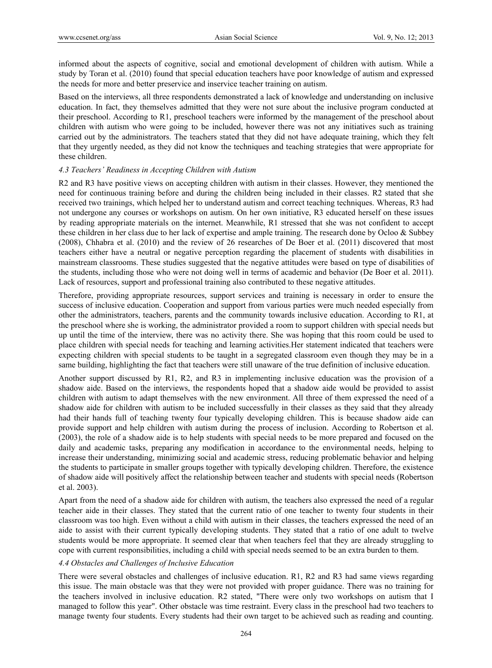informed about the aspects of cognitive, social and emotional development of children with autism. While a study by Toran et al. (2010) found that special education teachers have poor knowledge of autism and expressed the needs for more and better preservice and inservice teacher training on autism.

Based on the interviews, all three respondents demonstrated a lack of knowledge and understanding on inclusive education. In fact, they themselves admitted that they were not sure about the inclusive program conducted at their preschool. According to R1, preschool teachers were informed by the management of the preschool about children with autism who were going to be included, however there was not any initiatives such as training carried out by the administrators. The teachers stated that they did not have adequate training, which they felt that they urgently needed, as they did not know the techniques and teaching strategies that were appropriate for these children.

## *4.3 Teachers' Readiness in Accepting Children with Autism*

R2 and R3 have positive views on accepting children with autism in their classes. However, they mentioned the need for continuous training before and during the children being included in their classes. R2 stated that she received two trainings, which helped her to understand autism and correct teaching techniques. Whereas, R3 had not undergone any courses or workshops on autism. On her own initiative, R3 educated herself on these issues by reading appropriate materials on the internet. Meanwhile, R1 stressed that she was not confident to accept these children in her class due to her lack of expertise and ample training. The research done by Ocloo & Subbey (2008), Chhabra et al. (2010) and the review of 26 researches of De Boer et al. (2011) discovered that most teachers either have a neutral or negative perception regarding the placement of students with disabilities in mainstream classrooms. These studies suggested that the negative attitudes were based on type of disabilities of the students, including those who were not doing well in terms of academic and behavior (De Boer et al. 2011). Lack of resources, support and professional training also contributed to these negative attitudes.

Therefore, providing appropriate resources, support services and training is necessary in order to ensure the success of inclusive education. Cooperation and support from various parties were much needed especially from other the administrators, teachers, parents and the community towards inclusive education. According to R1, at the preschool where she is working, the administrator provided a room to support children with special needs but up until the time of the interview, there was no activity there. She was hoping that this room could be used to place children with special needs for teaching and learning activities.Her statement indicated that teachers were expecting children with special students to be taught in a segregated classroom even though they may be in a same building, highlighting the fact that teachers were still unaware of the true definition of inclusive education.

Another support discussed by R1, R2, and R3 in implementing inclusive education was the provision of a shadow aide. Based on the interviews, the respondents hoped that a shadow aide would be provided to assist children with autism to adapt themselves with the new environment. All three of them expressed the need of a shadow aide for children with autism to be included successfully in their classes as they said that they already had their hands full of teaching twenty four typically developing children. This is because shadow aide can provide support and help children with autism during the process of inclusion. According to Robertson et al. (2003), the role of a shadow aide is to help students with special needs to be more prepared and focused on the daily and academic tasks, preparing any modification in accordance to the environmental needs, helping to increase their understanding, minimizing social and academic stress, reducing problematic behavior and helping the students to participate in smaller groups together with typically developing children. Therefore, the existence of shadow aide will positively affect the relationship between teacher and students with special needs (Robertson et al. 2003).

Apart from the need of a shadow aide for children with autism, the teachers also expressed the need of a regular teacher aide in their classes. They stated that the current ratio of one teacher to twenty four students in their classroom was too high. Even without a child with autism in their classes, the teachers expressed the need of an aide to assist with their current typically developing students. They stated that a ratio of one adult to twelve students would be more appropriate. It seemed clear that when teachers feel that they are already struggling to cope with current responsibilities, including a child with special needs seemed to be an extra burden to them.

## *4.4 Obstacles and Challenges of Inclusive Education*

There were several obstacles and challenges of inclusive education. R1, R2 and R3 had same views regarding this issue. The main obstacle was that they were not provided with proper guidance. There was no training for the teachers involved in inclusive education. R2 stated, "There were only two workshops on autism that I managed to follow this year". Other obstacle was time restraint. Every class in the preschool had two teachers to manage twenty four students. Every students had their own target to be achieved such as reading and counting.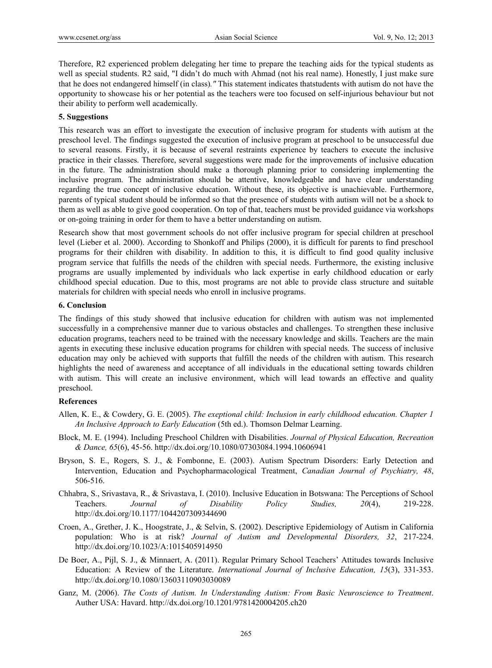Therefore, R2 experienced problem delegating her time to prepare the teaching aids for the typical students as well as special students. R2 said, "I didn't do much with Ahmad (not his real name). Honestly, I just make sure that he does not endangered himself (in class)*."* This statement indicates thatstudents with autism do not have the opportunity to showcase his or her potential as the teachers were too focused on self-injurious behaviour but not their ability to perform well academically.

#### **5. Suggestions**

This research was an effort to investigate the execution of inclusive program for students with autism at the preschool level. The findings suggested the execution of inclusive program at preschool to be unsuccessful due to several reasons. Firstly, it is because of several restraints experience by teachers to execute the inclusive practice in their classes. Therefore, several suggestions were made for the improvements of inclusive education in the future. The administration should make a thorough planning prior to considering implementing the inclusive program. The administration should be attentive, knowledgeable and have clear understanding regarding the true concept of inclusive education. Without these, its objective is unachievable. Furthermore, parents of typical student should be informed so that the presence of students with autism will not be a shock to them as well as able to give good cooperation. On top of that, teachers must be provided guidance via workshops or on-going training in order for them to have a better understanding on autism.

Research show that most government schools do not offer inclusive program for special children at preschool level (Lieber et al. 2000). According to Shonkoff and Philips (2000), it is difficult for parents to find preschool programs for their children with disability. In addition to this, it is difficult to find good quality inclusive program service that fulfills the needs of the children with special needs. Furthermore, the existing inclusive programs are usually implemented by individuals who lack expertise in early childhood education or early childhood special education. Due to this, most programs are not able to provide class structure and suitable materials for children with special needs who enroll in inclusive programs.

# **6. Conclusion**

The findings of this study showed that inclusive education for children with autism was not implemented successfully in a comprehensive manner due to various obstacles and challenges. To strengthen these inclusive education programs, teachers need to be trained with the necessary knowledge and skills. Teachers are the main agents in executing these inclusive education programs for children with special needs. The success of inclusive education may only be achieved with supports that fulfill the needs of the children with autism. This research highlights the need of awareness and acceptance of all individuals in the educational setting towards children with autism. This will create an inclusive environment, which will lead towards an effective and quality preschool.

## **References**

- Allen, K. E., & Cowdery, G. E. (2005). *The exeptional child: Inclusion in early childhood education. Chapter 1 An Inclusive Approach to Early Education* (5th ed.). Thomson Delmar Learning.
- Block, M. E. (1994). Including Preschool Children with Disabilities. *Journal of Physical Education, Recreation & Dance, 65*(6), 45-56. http://dx.doi.org/10.1080/07303084.1994.10606941
- Bryson, S. E., Rogers, S. J., & Fombonne, E. (2003). Autism Spectrum Disorders: Early Detection and Intervention, Education and Psychopharmacological Treatment, *Canadian Journal of Psychiatry, 48*, 506-516.
- Chhabra, S., Srivastava, R., & Srivastava, I. (2010). Inclusive Education in Botswana: The Perceptions of School Teachers. *Journal of Disability Policy Studies, 20*(4), 219-228. http://dx.doi.org/10.1177/1044207309344690
- Croen, A., Grether, J. K., Hoogstrate, J., & Selvin, S. (2002). Descriptive Epidemiology of Autism in California population: Who is at risk? *Journal of Autism and Developmental Disorders, 32*, 217-224. http://dx.doi.org/10.1023/A:1015405914950
- De Boer, A., Pijl, S. J., & Minnaert, A. (2011). Regular Primary School Teachers' Attitudes towards Inclusive Education: A Review of the Literature. *International Journal of Inclusive Education, 15*(3), 331-353. http://dx.doi.org/10.1080/13603110903030089
- Ganz, M. (2006). *The Costs of Autism. In Understanding Autism: From Basic Neuroscience to Treatment*. Auther USA: Havard. http://dx.doi.org/10.1201/9781420004205.ch20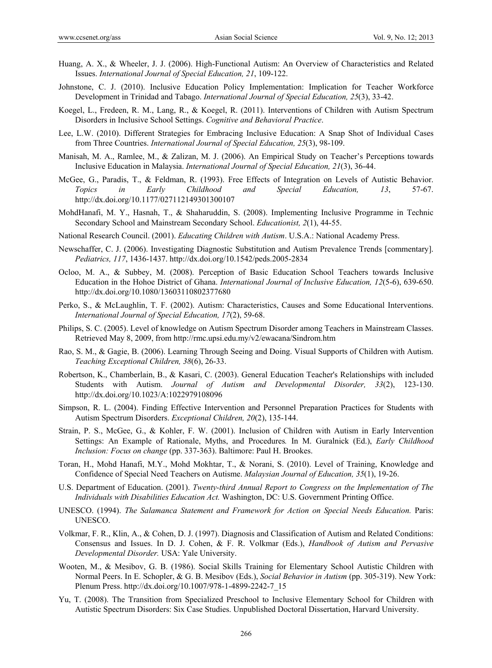- Huang, A. X., & Wheeler, J. J. (2006). High-Functional Autism: An Overview of Characteristics and Related Issues. *International Journal of Special Education, 21*, 109-122.
- Johnstone, C. J. (2010). Inclusive Education Policy Implementation: Implication for Teacher Workforce Development in Trinidad and Tabago. *International Journal of Special Education, 25*(3), 33-42.
- Koegel, L., Fredeen, R. M., Lang, R., & Koegel, R. (2011). Interventions of Children with Autism Spectrum Disorders in Inclusive School Settings. *Cognitive and Behavioral Practice*.
- Lee, L.W. (2010). Different Strategies for Embracing Inclusive Education: A Snap Shot of Individual Cases from Three Countries. *International Journal of Special Education, 25*(3), 98-109.
- Manisah, M. A., Ramlee, M., & Zalizan, M. J. (2006). An Empirical Study on Teacher's Perceptions towards Inclusive Education in Malaysia. *International Journal of Special Education, 21*(3), 36-44.
- McGee, G., Paradis, T., & Feldman, R. (1993). Free Effects of Integration on Levels of Autistic Behavior. *Topics in Early Childhood and Special Education, 13*, 57-67. http://dx.doi.org/10.1177/027112149301300107
- MohdHanafi, M. Y., Hasnah, T., & Shaharuddin, S. (2008). Implementing Inclusive Programme in Technic Secondary School and Mainstream Secondary School. *Educationist, 2*(1), 44-55.
- National Research Council. (2001). *Educating Children with Autism*. U.S.A.: National Academy Press.
- Newschaffer, C. J. (2006). Investigating Diagnostic Substitution and Autism Prevalence Trends [commentary]. *Pediatrics, 117*, 1436-1437. http://dx.doi.org/10.1542/peds.2005-2834
- Ocloo, M. A., & Subbey, M. (2008). Perception of Basic Education School Teachers towards Inclusive Education in the Hohoe District of Ghana. *International Journal of Inclusive Education, 12*(5-6), 639-650. http://dx.doi.org/10.1080/13603110802377680
- Perko, S., & McLaughlin, T. F. (2002). Autism: Characteristics, Causes and Some Educational Interventions. *International Journal of Special Education, 17*(2), 59-68.
- Philips, S. C. (2005). Level of knowledge on Autism Spectrum Disorder among Teachers in Mainstream Classes. Retrieved May 8, 2009, from http://rmc.upsi.edu.my/v2/ewacana/Sindrom.htm
- Rao, S. M., & Gagie, B. (2006). Learning Through Seeing and Doing. Visual Supports of Children with Autism. *Teaching Exceptional Children, 38*(6), 26-33.
- Robertson, K., Chamberlain, B., & Kasari, C. (2003). General Education Teacher's Relationships with included Students with Autism. *Journal of Autism and Developmental Disorder, 33*(2), 123-130. http://dx.doi.org/10.1023/A:1022979108096
- Simpson, R. L. (2004). Finding Effective Intervention and Personnel Preparation Practices for Students with Autism Spectrum Disorders. *Exceptional Children, 20*(2), 135-144.
- Strain, P. S., McGee, G., & Kohler, F. W. (2001). Inclusion of Children with Autism in Early Intervention Settings: An Example of Rationale, Myths, and Procedures*.* In M. Guralnick (Ed.), *Early Childhood Inclusion: Focus on change* (pp. 337-363). Baltimore: Paul H. Brookes.
- Toran, H., Mohd Hanafi, M.Y., Mohd Mokhtar, T., & Norani, S. (2010). Level of Training, Knowledge and Confidence of Special Need Teachers on Autisme. *Malaysian Journal of Education, 35*(1), 19-26.
- U.S. Department of Education. (2001). *Twenty-third Annual Report to Congress on the Implementation of The Individuals with Disabilities Education Act.* Washington, DC: U.S. Government Printing Office.
- UNESCO. (1994). *The Salamanca Statement and Framework for Action on Special Needs Education.* Paris: UNESCO.
- Volkmar, F. R., Klin, A., & Cohen, D. J. (1997). Diagnosis and Classification of Autism and Related Conditions: Consensus and Issues. In D. J. Cohen, & F. R. Volkmar (Eds.), *Handbook of Autism and Pervasive Developmental Disorder.* USA: Yale University.
- Wooten, M., & Mesibov, G. B. (1986). Social Skills Training for Elementary School Autistic Children with Normal Peers. In E. Schopler, & G. B. Mesibov (Eds.), *Social Behavior in Autism* (pp. 305-319). New York: Plenum Press. http://dx.doi.org/10.1007/978-1-4899-2242-7\_15
- Yu, T. (2008). The Transition from Specialized Preschool to Inclusive Elementary School for Children with Autistic Spectrum Disorders: Six Case Studies. Unpublished Doctoral Dissertation, Harvard University.